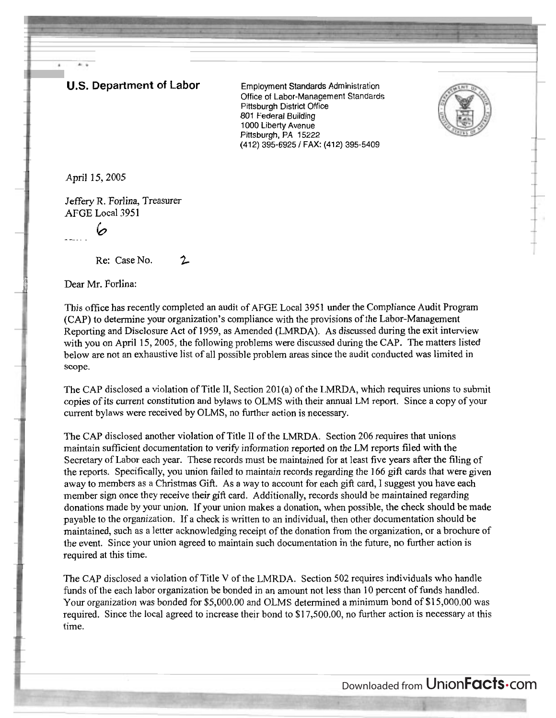## **U.S. Department of Labor** Employment Standards Administration

Office of Labor-Management Standards Pittsburgh District Office 801 Federal Building 1000 Liberty Avenue Pittsburgh, PA 15222 (412) 395-6925 / FAX: (412) 395-5409



April 15,2005

4.4

Jeffery R. Forlina, Treasurer AFGE Local 3951

- ---- . *6* 

 $\ddot{\phantom{1}}$ 

Re: Case No. 2

Dear Mr. Forlina:

This office has recently completed an audit of AFGE Local 3951 under the Compliance Audit Program (CAP) to determine your organization's compliance with the provisions of the Labor-Management Reporting and Disclosure Act of 1959, as Amended (LMRDA). As discussed during the exit interview with you on April 15, 2005, the following problems were discussed during the CAP. The matters listed below are not an exhaustive list of all possible problem areas since the audit conducted was limited in scope.

The CAP disclosed a violation of Title II, Section 201(a) of the LMRDA, which requires unions to submit copies of its current constitution and bylaws to OLMS with their annual LM report. Since a copy of your current bylaws were received by OLMS, no further action is necessary.

The CAP disclosed another violation of Title I1 of the LMRDA. Section 206 requires that unions maintain sufficient documentation to verify information reported on the LM reports filed with the Secretary of Labor each year. These records must be maintained for at least five years after the filing of the reports. Specifically, you union failed to maintain records regarding the 166 gift cards that were given away to members as a Christmas Gift. As a way to account for each gift card, I suggest you have each member sign once they receive their gift card. Additionally, records should be maintained regarding donations made by your union. If your union makes a donation, when possible, the check should be made payable to the organization. If a check is written to an individual, then other documentation should be maintained, such as a letter acknowledging receipt of the donation from the organization, or a brochure of the event. Since your union agreed to maintain such documentation in the future, no further action is required at this time.

The CAP disclosed a violation of Title V of the LMRDA. Section 502 requires individuals who handle funds of the each labor organization be bonded in an amount not less than 10 percent of funds handled. Your organization was bonded for \$5,000.00 and OLMS determined a minimum bond of \$1 5,000.00 was required. Since the local agreed to increase their bond to \$17,500.00, no further action is necessary at this time.

Downloaded from UnionFacts.com